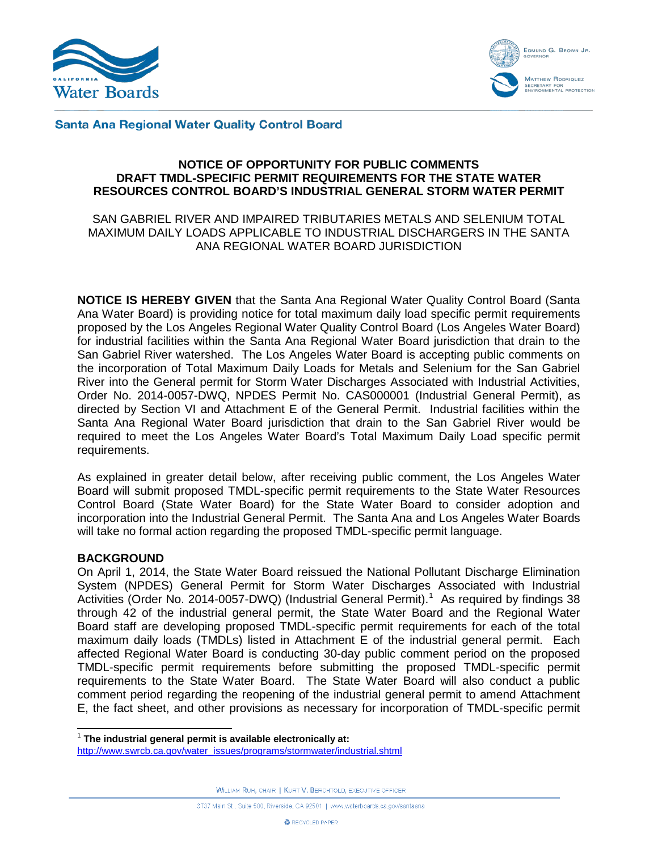



#### **Santa Ana Regional Water Quality Control Board**

### **NOTICE OF OPPORTUNITY FOR PUBLIC COMMENTS DRAFT TMDL-SPECIFIC PERMIT REQUIREMENTS FOR THE STATE WATER RESOURCES CONTROL BOARD'S INDUSTRIAL GENERAL STORM WATER PERMIT**

### SAN GABRIEL RIVER AND IMPAIRED TRIBUTARIES METALS AND SELENIUM TOTAL MAXIMUM DAILY LOADS APPLICABLE TO INDUSTRIAL DISCHARGERS IN THE SANTA ANA REGIONAL WATER BOARD JURISDICTION

**NOTICE IS HEREBY GIVEN** that the Santa Ana Regional Water Quality Control Board (Santa Ana Water Board) is providing notice for total maximum daily load specific permit requirements proposed by the Los Angeles Regional Water Quality Control Board (Los Angeles Water Board) for industrial facilities within the Santa Ana Regional Water Board jurisdiction that drain to the San Gabriel River watershed. The Los Angeles Water Board is accepting public comments on the incorporation of Total Maximum Daily Loads for Metals and Selenium for the San Gabriel River into the General permit for Storm Water Discharges Associated with Industrial Activities, Order No. 2014-0057-DWQ, NPDES Permit No. CAS000001 (Industrial General Permit), as directed by Section VI and Attachment E of the General Permit. Industrial facilities within the Santa Ana Regional Water Board jurisdiction that drain to the San Gabriel River would be required to meet the Los Angeles Water Board's Total Maximum Daily Load specific permit requirements.

As explained in greater detail below, after receiving public comment, the Los Angeles Water Board will submit proposed TMDL-specific permit requirements to the State Water Resources Control Board (State Water Board) for the State Water Board to consider adoption and incorporation into the Industrial General Permit. The Santa Ana and Los Angeles Water Boards will take no formal action regarding the proposed TMDL-specific permit language.

### **BACKGROUND**

On April 1, 2014, the State Water Board reissued the National Pollutant Discharge Elimination System (NPDES) General Permit for Storm Water Discharges Associated with Industrial Activities (Order No. 20[1](#page-0-0)4-0057-DWQ) (Industrial General Permit).<sup>1</sup> As required by findings 38 through 42 of the industrial general permit, the State Water Board and the Regional Water Board staff are developing proposed TMDL-specific permit requirements for each of the total maximum daily loads (TMDLs) listed in Attachment E of the industrial general permit. Each affected Regional Water Board is conducting 30-day public comment period on the proposed TMDL-specific permit requirements before submitting the proposed TMDL-specific permit requirements to the State Water Board. The State Water Board will also conduct a public comment period regarding the reopening of the industrial general permit to amend Attachment E, the fact sheet, and other provisions as necessary for incorporation of TMDL-specific permit

WILLIAM RUH, CHAIR | KURT V. BERCHTOLD, EXECUTIVE OFFICER

<span id="page-0-0"></span> <sup>1</sup> **The industrial general permit is available electronically at:** 

[http://www.swrcb.ca.gov/water\\_issues/programs/stormwater/industrial.shtml](http://www.swrcb.ca.gov/water_issues/programs/stormwater/industrial.shtml)